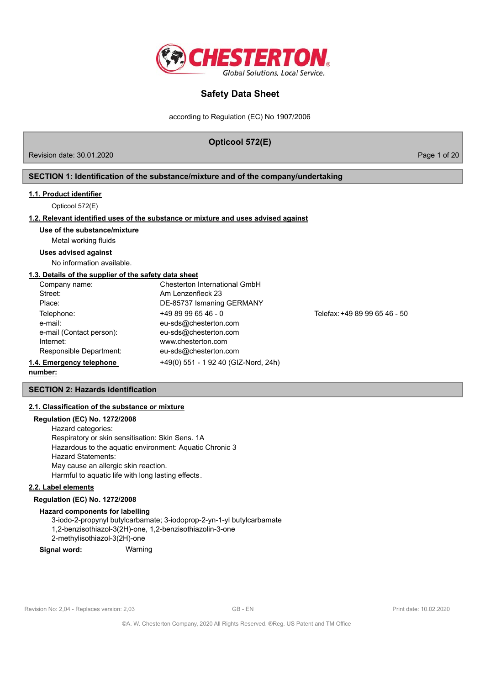

according to Regulation (EC) No 1907/2006

## **Opticool 572(E)**

Revision date: 30.01.2020 **Page 1 of 20** Page 1 of 20

## **SECTION 1: Identification of the substance/mixture and of the company/undertaking**

#### **1.1. Product identifier**

Opticool 572(E)

## **1.2. Relevant identified uses of the substance or mixture and uses advised against**

#### **Use of the substance/mixture**

Metal working fluids

## **Uses advised against**

No information available.

### **1.3. Details of the supplier of the safety data sheet**

| Company name:            | Chesterton International GmbH        |                               |
|--------------------------|--------------------------------------|-------------------------------|
| Street:                  | Am Lenzenfleck 23                    |                               |
| Place:                   | DE-85737 Ismaning GERMANY            |                               |
| Telephone:               | $+4989996546 - 0$                    | Telefax: +49 89 99 65 46 - 50 |
| e-mail:                  | eu-sds@chesterton.com                |                               |
| e-mail (Contact person): | eu-sds@chesterton.com                |                               |
| Internet:                | www.chesterton.com                   |                               |
| Responsible Department:  | eu-sds@chesterton.com                |                               |
| 1.4. Emergency telephone | +49(0) 551 - 1 92 40 (GIZ-Nord, 24h) |                               |

### **number:**

## **SECTION 2: Hazards identification**

#### **2.1. Classification of the substance or mixture**

## **Regulation (EC) No. 1272/2008**

Hazard categories: Respiratory or skin sensitisation: Skin Sens. 1A Hazardous to the aquatic environment: Aquatic Chronic 3 Hazard Statements: May cause an allergic skin reaction. Harmful to aquatic life with long lasting effects.

## **2.2. Label elements**

## **Regulation (EC) No. 1272/2008**

#### **Hazard components for labelling**

3-iodo-2-propynyl butylcarbamate; 3-iodoprop-2-yn-1-yl butylcarbamate 1,2-benzisothiazol-3(2H)-one, 1,2-benzisothiazolin-3-one 2-methylisothiazol-3(2H)-one

**Signal word:** Warning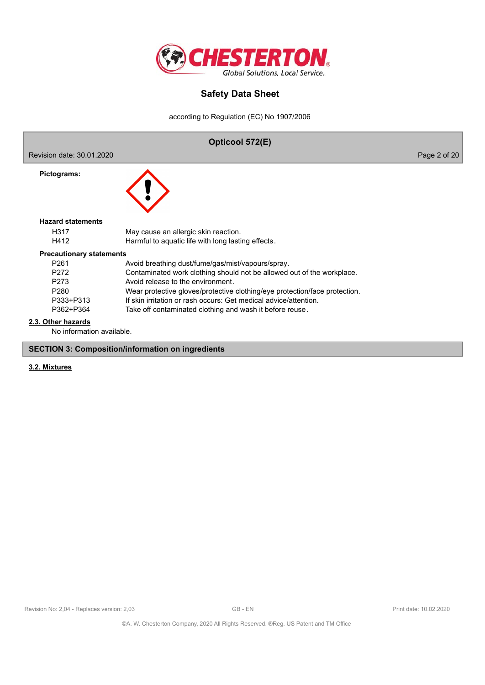

according to Regulation (EC) No 1907/2006



#### **SECTION 3: Composition/information on ingredients**

## **3.2. Mixtures**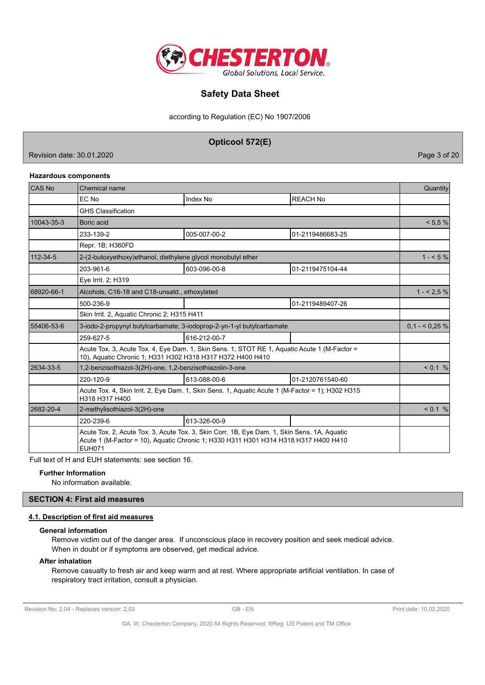

according to Regulation (EC) No 1907/2006

**Opticool 572(E)**

Revision date: 30.01.2020 **Page 3** of 20

### **Hazardous components**

| <b>CAS No</b>  | Chemical name                                                                                                                                                                                       |                 |                  |           |  |
|----------------|-----------------------------------------------------------------------------------------------------------------------------------------------------------------------------------------------------|-----------------|------------------|-----------|--|
|                | EC No                                                                                                                                                                                               | Index No        | <b>REACH No</b>  |           |  |
|                | <b>GHS Classification</b>                                                                                                                                                                           |                 |                  |           |  |
| 10043-35-3     | Boric acid                                                                                                                                                                                          |                 |                  | < 5.5 %   |  |
|                | 233-139-2                                                                                                                                                                                           | 005-007-00-2    | 01-2119486683-25 |           |  |
|                | Repr. 1B; H360FD                                                                                                                                                                                    |                 |                  |           |  |
| $112 - 34 - 5$ | 2-(2-butoxyethoxy)ethanol, diethylene glycol monobutyl ether                                                                                                                                        |                 |                  | $1 - 5\%$ |  |
|                | 203-961-6                                                                                                                                                                                           | 603-096-00-8    | 01-2119475104-44 |           |  |
|                | Eye Irrit. 2; H319                                                                                                                                                                                  |                 |                  |           |  |
| 68920-66-1     | Alcohols, C16-18 and C18-unsatd., ethoxylated                                                                                                                                                       | $1 - 2.5\%$     |                  |           |  |
|                | 500-236-9                                                                                                                                                                                           |                 | 01-2119489407-26 |           |  |
|                | Skin Irrit. 2, Aquatic Chronic 2; H315 H411                                                                                                                                                         |                 |                  |           |  |
| 55406-53-6     | 3-iodo-2-propynyl butylcarbamate; 3-iodoprop-2-yn-1-yl butylcarbamate                                                                                                                               | $0.1 - 5.25 \%$ |                  |           |  |
|                | 259-627-5                                                                                                                                                                                           | 616-212-00-7    |                  |           |  |
|                | Acute Tox. 3, Acute Tox. 4, Eye Dam. 1, Skin Sens. 1, STOT RE 1, Aquatic Acute 1 (M-Factor =<br>10), Aquatic Chronic 1; H331 H302 H318 H317 H372 H400 H410                                          |                 |                  |           |  |
| 2634-33-5      | 1,2-benzisothiazol-3(2H)-one, 1,2-benzisothiazolin-3-one                                                                                                                                            | < 0.1 %         |                  |           |  |
|                | 220-120-9                                                                                                                                                                                           | 613-088-00-6    | 01-2120761540-60 |           |  |
|                | Acute Tox. 4, Skin Irrit. 2, Eye Dam. 1, Skin Sens. 1, Aquatic Acute 1 (M-Factor = 1); H302 H315<br>H318 H317 H400                                                                                  |                 |                  |           |  |
| 2682-20-4      | 2-methylisothiazol-3(2H)-one                                                                                                                                                                        | $< 0.1 \%$      |                  |           |  |
|                | 220-239-6                                                                                                                                                                                           | 613-326-00-9    |                  |           |  |
|                | Acute Tox. 2, Acute Tox. 3, Acute Tox. 3, Skin Corr. 1B, Eye Dam. 1, Skin Sens. 1A, Aquatic<br>Acute 1 (M-Factor = 10), Aquatic Chronic 1; H330 H311 H301 H314 H318 H317 H400 H410<br><b>EUH071</b> |                 |                  |           |  |

Full text of H and EUH statements: see section 16.

### **Further Information**

No information available.

## **SECTION 4: First aid measures**

## **4.1. Description of first aid measures**

#### **General information**

Remove victim out of the danger area. If unconscious place in recovery position and seek medical advice. When in doubt or if symptoms are observed, get medical advice.

#### **After inhalation**

Remove casualty to fresh air and keep warm and at rest. Where appropriate artificial ventilation. In case of respiratory tract irritation, consult a physician.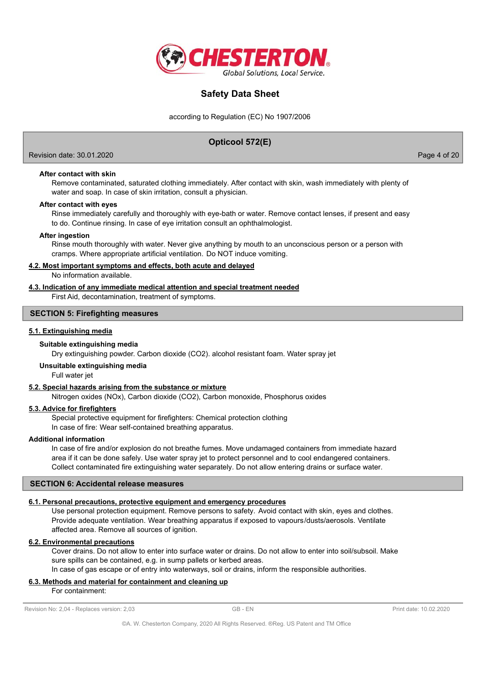

according to Regulation (EC) No 1907/2006

## **Opticool 572(E)**

Revision date: 30.01.2020 **Page 4 of 20** Page 4 of 20

## **After contact with skin**

Remove contaminated, saturated clothing immediately. After contact with skin, wash immediately with plenty of water and soap. In case of skin irritation, consult a physician.

#### **After contact with eyes**

Rinse immediately carefully and thoroughly with eye-bath or water. Remove contact lenses, if present and easy to do. Continue rinsing. In case of eye irritation consult an ophthalmologist.

#### **After ingestion**

Rinse mouth thoroughly with water. Never give anything by mouth to an unconscious person or a person with cramps. Where appropriate artificial ventilation. Do NOT induce vomiting.

## **4.2. Most important symptoms and effects, both acute and delayed**

No information available.

## **4.3. Indication of any immediate medical attention and special treatment needed**

First Aid, decontamination, treatment of symptoms.

## **SECTION 5: Firefighting measures**

## **5.1. Extinguishing media**

#### **Suitable extinguishing media**

Dry extinguishing powder. Carbon dioxide (CO2). alcohol resistant foam. Water spray jet

#### **Unsuitable extinguishing media**

Full water jet

## **5.2. Special hazards arising from the substance or mixture**

Nitrogen oxides (NOx), Carbon dioxide (CO2), Carbon monoxide, Phosphorus oxides

### **5.3. Advice for firefighters**

Special protective equipment for firefighters: Chemical protection clothing In case of fire: Wear self-contained breathing apparatus.

#### **Additional information**

In case of fire and/or explosion do not breathe fumes. Move undamaged containers from immediate hazard area if it can be done safely. Use water spray jet to protect personnel and to cool endangered containers. Collect contaminated fire extinguishing water separately. Do not allow entering drains or surface water.

#### **SECTION 6: Accidental release measures**

### **6.1. Personal precautions, protective equipment and emergency procedures**

Use personal protection equipment. Remove persons to safety. Avoid contact with skin, eyes and clothes. Provide adequate ventilation. Wear breathing apparatus if exposed to vapours/dusts/aerosols. Ventilate affected area. Remove all sources of ignition.

## **6.2. Environmental precautions**

Cover drains. Do not allow to enter into surface water or drains. Do not allow to enter into soil/subsoil. Make sure spills can be contained, e.g. in sump pallets or kerbed areas. In case of gas escape or of entry into waterways, soil or drains, inform the responsible authorities.

## **6.3. Methods and material for containment and cleaning up**

For containment: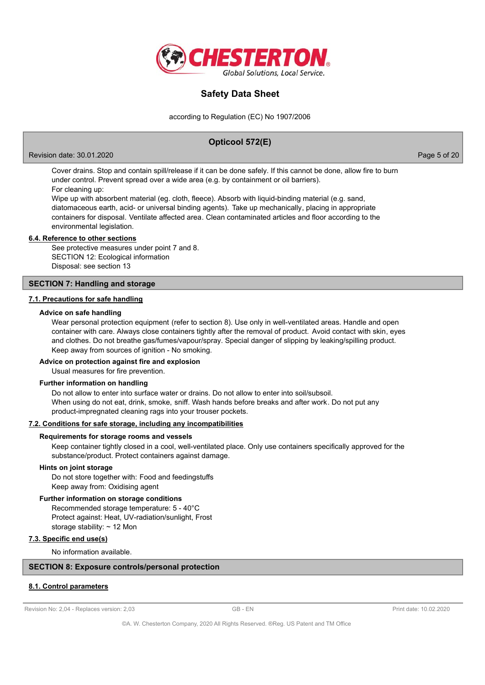

according to Regulation (EC) No 1907/2006

## **Opticool 572(E)**

Revision date: 30.01.2020 **Page 5 of 20** Page 5 of 20

Cover drains. Stop and contain spill/release if it can be done safely. If this cannot be done, allow fire to burn under control. Prevent spread over a wide area (e.g. by containment or oil barriers). For cleaning up:

Wipe up with absorbent material (eg. cloth, fleece). Absorb with liquid-binding material (e.g. sand, diatomaceous earth, acid- or universal binding agents). Take up mechanically, placing in appropriate containers for disposal. Ventilate affected area. Clean contaminated articles and floor according to the environmental legislation.

#### **6.4. Reference to other sections**

See protective measures under point 7 and 8. SECTION 12: Ecological information Disposal: see section 13

### **SECTION 7: Handling and storage**

#### **7.1. Precautions for safe handling**

#### **Advice on safe handling**

Wear personal protection equipment (refer to section 8). Use only in well-ventilated areas. Handle and open container with care. Always close containers tightly after the removal of product. Avoid contact with skin, eyes and clothes. Do not breathe gas/fumes/vapour/spray. Special danger of slipping by leaking/spilling product. Keep away from sources of ignition - No smoking.

#### **Advice on protection against fire and explosion**

Usual measures for fire prevention.

### **Further information on handling**

Do not allow to enter into surface water or drains. Do not allow to enter into soil/subsoil. When using do not eat, drink, smoke, sniff. Wash hands before breaks and after work. Do not put any product-impregnated cleaning rags into your trouser pockets.

#### **7.2. Conditions for safe storage, including any incompatibilities**

#### **Requirements for storage rooms and vessels**

Keep container tightly closed in a cool, well-ventilated place. Only use containers specifically approved for the substance/product. Protect containers against damage.

#### **Hints on joint storage**

Do not store together with: Food and feedingstuffs Keep away from: Oxidising agent

#### **Further information on storage conditions**

Recommended storage temperature: 5 - 40°C Protect against: Heat, UV-radiation/sunlight, Frost storage stability: ~ 12 Mon

### **7.3. Specific end use(s)**

No information available.

## **SECTION 8: Exposure controls/personal protection**

### **8.1. Control parameters**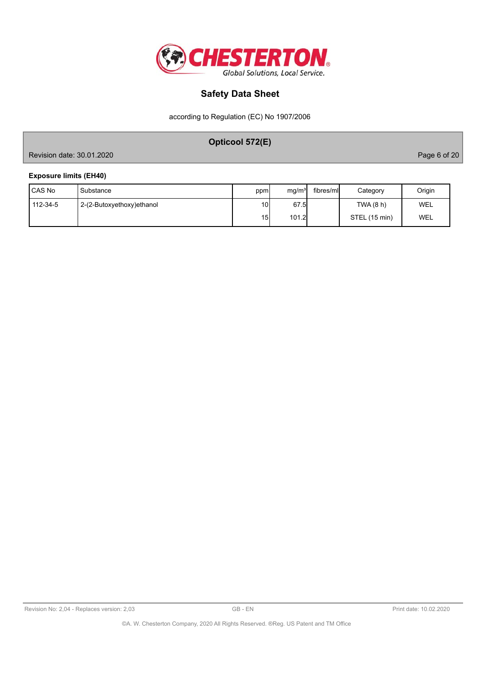

according to Regulation (EC) No 1907/2006

# **Opticool 572(E)**

Revision date: 30.01.2020 **Page 6 of 20** 

## **Exposure limits (EH40)**

| <b>ICAS No</b> | Substance                 | ppm             | mg/m <sup>3</sup> | fibres/mll | Category      | Origin |
|----------------|---------------------------|-----------------|-------------------|------------|---------------|--------|
| 112-34-5       | 2-(2-Butoxyethoxy)ethanol | 10I             | 67.5              |            | TWA (8 h)     | WEL    |
|                |                           | 15 <sup>1</sup> | 101.2             |            | STEL (15 min) | WEL    |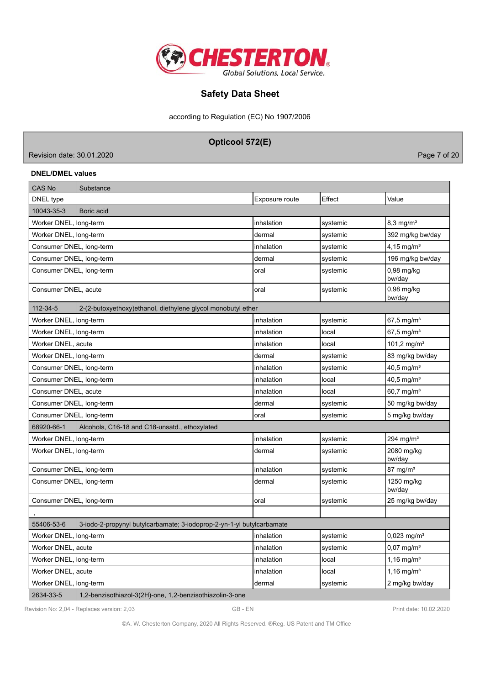

according to Regulation (EC) No 1907/2006

**Opticool 572(E)**

Revision date: 30.01.2020 **Page 7 of 20** 

## **DNEL/DMEL values**

| CAS No                   | Substance                                                             |                |          |                           |
|--------------------------|-----------------------------------------------------------------------|----------------|----------|---------------------------|
| DNEL type                |                                                                       | Exposure route | Effect   | Value                     |
| 10043-35-3               | Boric acid                                                            |                |          |                           |
| Worker DNEL, long-term   |                                                                       | inhalation     | systemic | $8,3$ mg/m <sup>3</sup>   |
| Worker DNEL, long-term   |                                                                       | dermal         | systemic | 392 mg/kg bw/day          |
| Consumer DNEL, long-term |                                                                       | inhalation     | systemic | $4.15$ mg/m <sup>3</sup>  |
| Consumer DNEL, long-term |                                                                       | dermal         | systemic | 196 mg/kg bw/day          |
| Consumer DNEL, long-term |                                                                       | oral           | systemic | $0,98$ mg/kg<br>bw/day    |
| Consumer DNEL, acute     |                                                                       | oral           | systemic | $0,98$ mg/kg<br>bw/day    |
| 112-34-5                 | 2-(2-butoxyethoxy)ethanol, diethylene glycol monobutyl ether          |                |          |                           |
| Worker DNEL, long-term   |                                                                       | inhalation     | systemic | 67,5 mg/m <sup>3</sup>    |
| Worker DNEL, long-term   |                                                                       | inhalation     | local    | $67,5 \,\mathrm{mg/m^3}$  |
| Worker DNEL, acute       |                                                                       | inhalation     | local    | 101,2 mg/m <sup>3</sup>   |
| Worker DNEL, long-term   |                                                                       | dermal         | systemic | 83 mg/kg bw/day           |
| Consumer DNEL, long-term |                                                                       | inhalation     | systemic | $40,5 \,\mathrm{mg/m^3}$  |
| Consumer DNEL, long-term |                                                                       | inhalation     | local    | $40,5$ mg/m <sup>3</sup>  |
| Consumer DNEL, acute     |                                                                       | inhalation     | local    | 60,7 mg/m <sup>3</sup>    |
| Consumer DNEL, long-term |                                                                       | dermal         | systemic | 50 mg/kg bw/day           |
| Consumer DNEL, long-term |                                                                       | loral          | systemic | 5 mg/kg bw/day            |
| 68920-66-1               | Alcohols, C16-18 and C18-unsatd., ethoxylated                         |                |          |                           |
| Worker DNEL, long-term   |                                                                       | inhalation     | systemic | 294 mg/m $3$              |
| Worker DNEL, long-term   |                                                                       | dermal         | systemic | 2080 mg/kg<br>bw/day      |
| Consumer DNEL, long-term |                                                                       | inhalation     | systemic | $87 \text{ mg/m}^3$       |
| Consumer DNEL, long-term |                                                                       | dermal         | systemic | 1250 mg/kg<br>bw/day      |
| Consumer DNEL, long-term |                                                                       | oral           | systemic | 25 mg/kg bw/day           |
|                          |                                                                       |                |          |                           |
| 55406-53-6               | 3-iodo-2-propynyl butylcarbamate; 3-iodoprop-2-yn-1-yl butylcarbamate |                |          |                           |
| Worker DNEL, long-term   |                                                                       | inhalation     | systemic | $0,023$ mg/m <sup>3</sup> |
| Worker DNEL, acute       |                                                                       | inhalation     | systemic | $0,07$ mg/m <sup>3</sup>  |
| Worker DNEL, long-term   |                                                                       | inhalation     | local    | 1,16 mg/ $m^3$            |
| Worker DNEL, acute       |                                                                       | inhalation     | local    | $1,16$ mg/m <sup>3</sup>  |
| Worker DNEL, long-term   |                                                                       | dermal         | systemic | 2 mg/kg bw/day            |
| 2634-33-5                | 1,2-benzisothiazol-3(2H)-one, 1,2-benzisothiazolin-3-one              |                |          |                           |

Revision No: 2,04 - Replaces version: 2,03 GB - EN GB - EN Print date: 10.02.2020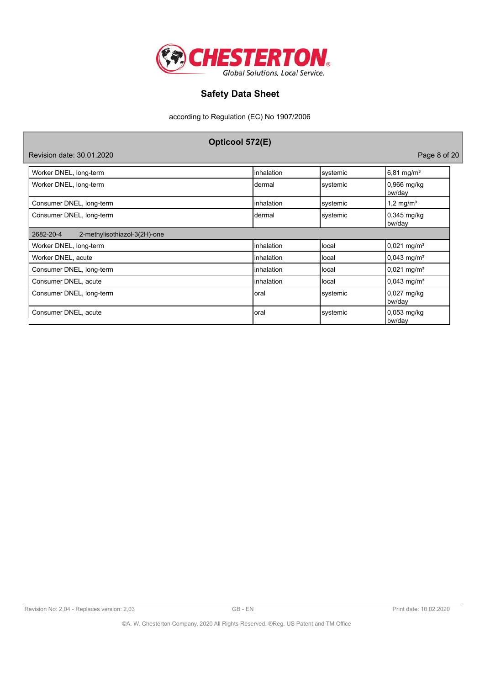

according to Regulation (EC) No 1907/2006

| Opticool 572(E)                           |             |          |                           |  |  |  |  |
|-------------------------------------------|-------------|----------|---------------------------|--|--|--|--|
| Page 8 of 20<br>Revision date: 30.01.2020 |             |          |                           |  |  |  |  |
| Worker DNEL, long-term                    | linhalation | systemic | $6,81$ mg/m <sup>3</sup>  |  |  |  |  |
| Worker DNEL, long-term                    | Idermal     | systemic | 0,966 mg/kg<br>bw/day     |  |  |  |  |
| Consumer DNEL, long-term                  | linhalation | systemic | 1,2 mg/ $m^3$             |  |  |  |  |
| Consumer DNEL, long-term                  | dermal      | systemic | 0,345 mg/kg<br>bw/day     |  |  |  |  |
| 2682-20-4<br>2-methylisothiazol-3(2H)-one |             |          |                           |  |  |  |  |
| Worker DNEL, long-term                    | linhalation | local    | $0,021$ mg/m <sup>3</sup> |  |  |  |  |
| Worker DNEL, acute                        | linhalation | llocal   | $0,043$ mg/m <sup>3</sup> |  |  |  |  |
| Consumer DNEL, long-term                  | linhalation | local    | $0,021 \text{ mg/m}^3$    |  |  |  |  |
| Consumer DNEL, acute                      | linhalation | llocal   | $0,043$ mg/m <sup>3</sup> |  |  |  |  |
| Consumer DNEL, long-term                  | Ioral       | systemic | $0,027$ mg/kg<br>bw/day   |  |  |  |  |
| Consumer DNEL, acute                      | loral       | systemic | 0,053 mg/kg<br>bw/day     |  |  |  |  |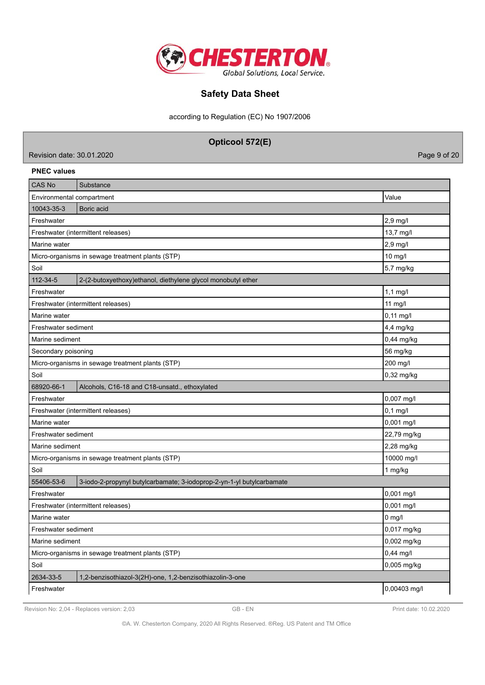

according to Regulation (EC) No 1907/2006

|                                    | Opticool 572(E)                                                       |              |  |  |  |  |
|------------------------------------|-----------------------------------------------------------------------|--------------|--|--|--|--|
| Revision date: 30.01.2020          |                                                                       | Page 9 of 20 |  |  |  |  |
| <b>PNEC values</b>                 |                                                                       |              |  |  |  |  |
| <b>CAS No</b>                      | Substance                                                             |              |  |  |  |  |
| Environmental compartment          |                                                                       | Value        |  |  |  |  |
| 10043-35-3                         | Boric acid                                                            |              |  |  |  |  |
| Freshwater                         |                                                                       | 2,9 mg/l     |  |  |  |  |
| Freshwater (intermittent releases) |                                                                       | 13,7 mg/l    |  |  |  |  |
| 2,9 mg/l<br>Marine water           |                                                                       |              |  |  |  |  |
|                                    | Micro-organisms in sewage treatment plants (STP)                      | 10 mg/l      |  |  |  |  |
| Soil                               |                                                                       | 5,7 mg/kg    |  |  |  |  |
| 112-34-5                           | 2-(2-butoxyethoxy)ethanol, diethylene glycol monobutyl ether          |              |  |  |  |  |
| Freshwater                         |                                                                       | $1,1$ mg/l   |  |  |  |  |
| Freshwater (intermittent releases) |                                                                       | 11 mg/l      |  |  |  |  |
| Marine water                       |                                                                       | $0,11$ mg/l  |  |  |  |  |
| Freshwater sediment                |                                                                       | 4,4 mg/kg    |  |  |  |  |
| Marine sediment                    |                                                                       | 0,44 mg/kg   |  |  |  |  |
| Secondary poisoning                |                                                                       | 56 mg/kg     |  |  |  |  |
|                                    | Micro-organisms in sewage treatment plants (STP)                      | 200 mg/l     |  |  |  |  |
| Soil                               |                                                                       | 0,32 mg/kg   |  |  |  |  |
| 68920-66-1                         | Alcohols, C16-18 and C18-unsatd., ethoxylated                         |              |  |  |  |  |
| Freshwater                         |                                                                       | 0,007 mg/l   |  |  |  |  |
| Freshwater (intermittent releases) |                                                                       | $0,1$ mg/l   |  |  |  |  |
| Marine water                       |                                                                       | 0,001 mg/l   |  |  |  |  |
| Freshwater sediment                |                                                                       | 22,79 mg/kg  |  |  |  |  |
| Marine sediment                    |                                                                       | 2,28 mg/kg   |  |  |  |  |
|                                    | Micro-organisms in sewage treatment plants (STP)                      | 10000 mg/l   |  |  |  |  |
| Soil                               |                                                                       | 1 mg/kg      |  |  |  |  |
| 55406-53-6                         | 3-iodo-2-propynyl butylcarbamate; 3-iodoprop-2-yn-1-yl butylcarbamate |              |  |  |  |  |
| Freshwater                         |                                                                       | 0,001 mg/l   |  |  |  |  |
|                                    | Freshwater (intermittent releases)                                    | 0,001 mg/l   |  |  |  |  |
| Marine water<br>$0$ mg/l           |                                                                       |              |  |  |  |  |
| Freshwater sediment<br>0,017 mg/kg |                                                                       |              |  |  |  |  |
| Marine sediment                    |                                                                       | 0,002 mg/kg  |  |  |  |  |
|                                    | Micro-organisms in sewage treatment plants (STP)                      | 0,44 mg/l    |  |  |  |  |
| Soil                               |                                                                       | 0,005 mg/kg  |  |  |  |  |
| 2634-33-5                          | 1,2-benzisothiazol-3(2H)-one, 1,2-benzisothiazolin-3-one              |              |  |  |  |  |
| Freshwater                         |                                                                       | 0,00403 mg/l |  |  |  |  |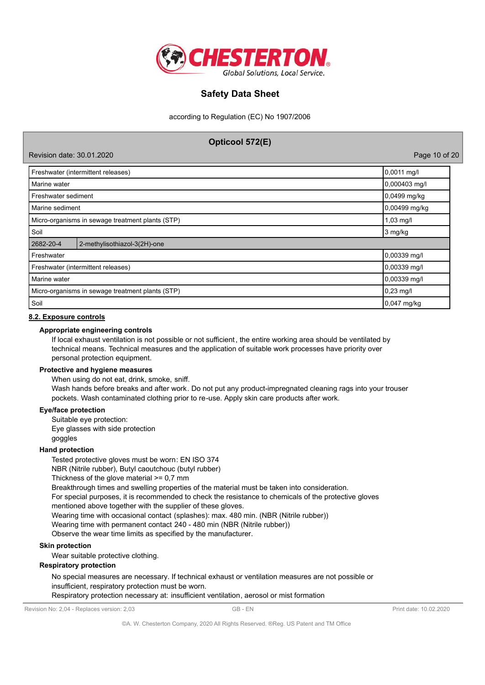

according to Regulation (EC) No 1907/2006

# **Opticool 572(E)** Revision date: 30.01.2020 Page 10 of 20 Freshwater (intermittent releases) 0,0011 mg/l Marine water  $|0,000403$  mg/l Freshwater sediment 0,0499 mg/kg Marine sediment **0,00499 mg/kg**  $\frac{1}{2}$ Micro-organisms in sewage treatment plants (STP) 1,03 mg/l 1,03 mg/l Soil and the state of the state of the state of the state of the state of the state of the state of the state of the state of the state of the state of the state of the state of the state of the state of the state of the s 2682-20-4 2-methylisothiazol-3(2H)-one Freshwater 0,00339 mg/l Freshwater (intermittent releases) 0,00339 mg/l Marine water 0,00339 mg/l Micro-organisms in sewage treatment plants (STP) 0,23 mg/l 0,23 mg/l Soil 0,047 mg/kg

### **8.2. Exposure controls**

### **Appropriate engineering controls**

If local exhaust ventilation is not possible or not sufficient, the entire working area should be ventilated by technical means. Technical measures and the application of suitable work processes have priority over personal protection equipment.

#### **Protective and hygiene measures**

When using do not eat, drink, smoke, sniff.

Wash hands before breaks and after work. Do not put any product-impregnated cleaning rags into your trouser pockets. Wash contaminated clothing prior to re-use. Apply skin care products after work.

### **Eye/face protection**

Suitable eye protection: Eye glasses with side protection goggles

#### **Hand protection**

Tested protective gloves must be worn: EN ISO 374

NBR (Nitrile rubber), Butyl caoutchouc (butyl rubber)

Thickness of the glove material >= 0,7 mm

Breakthrough times and swelling properties of the material must be taken into consideration.

For special purposes, it is recommended to check the resistance to chemicals of the protective gloves

mentioned above together with the supplier of these gloves.

Wearing time with occasional contact (splashes): max. 480 min. (NBR (Nitrile rubber))

Wearing time with permanent contact 240 - 480 min (NBR (Nitrile rubber))

Observe the wear time limits as specified by the manufacturer.

## **Skin protection**

Wear suitable protective clothing.

## **Respiratory protection**

No special measures are necessary. If technical exhaust or ventilation measures are not possible or insufficient, respiratory protection must be worn.

### Respiratory protection necessary at: insufficient ventilation, aerosol or mist formation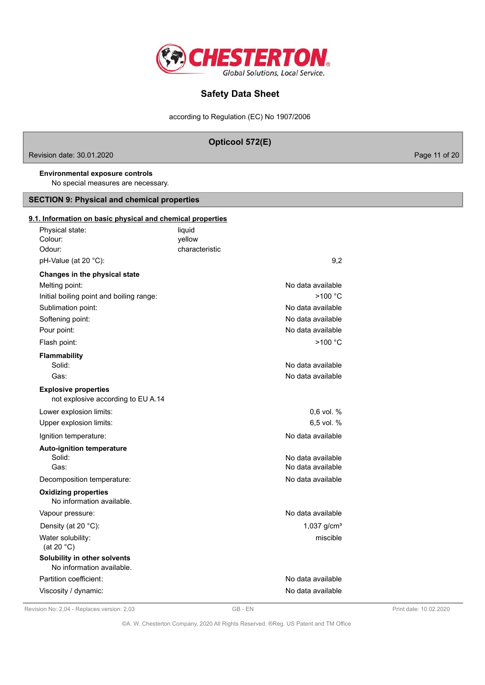

according to Regulation (EC) No 1907/2006

| Revision date: 30.01.2020                                                    | Opticool 572(E)                                             | Page 11 of 20 |
|------------------------------------------------------------------------------|-------------------------------------------------------------|---------------|
| <b>Environmental exposure controls</b><br>No special measures are necessary. |                                                             |               |
| <b>SECTION 9: Physical and chemical properties</b>                           |                                                             |               |
| 9.1. Information on basic physical and chemical properties                   |                                                             |               |
| Physical state:<br>Colour:<br>Odour:<br>pH-Value (at 20 °C):                 | liquid<br>yellow<br>characteristic<br>9,2                   |               |
| Changes in the physical state                                                |                                                             |               |
| Melting point:<br>Initial boiling point and boiling range:                   | No data available<br>>100 °C                                |               |
| Sublimation point:<br>Softening point:<br>Pour point:                        | No data available<br>No data available<br>No data available |               |
| Flash point:                                                                 | >100 °C                                                     |               |
| <b>Flammability</b><br>Solid:<br>Gas:                                        | No data available<br>No data available                      |               |
| <b>Explosive properties</b><br>not explosive according to EU A.14            |                                                             |               |
| Lower explosion limits:<br>Upper explosion limits:                           | 0,6 vol. %<br>6,5 vol. %                                    |               |
| Ignition temperature:                                                        | No data available                                           |               |
| <b>Auto-ignition temperature</b><br>Solid:<br>Gas:                           | No data available<br>No data available                      |               |
| Decomposition temperature:                                                   | No data available                                           |               |
| <b>Oxidizing properties</b><br>No information available.                     |                                                             |               |
| Vapour pressure:                                                             | No data available                                           |               |
| Density (at 20 °C):<br>Water solubility:<br>(at 20 $°C$ )                    | 1,037 $g/cm^{3}$<br>miscible                                |               |
| Solubility in other solvents<br>No information available.                    |                                                             |               |
| Partition coefficient:                                                       | No data available                                           |               |
| Viscosity / dynamic:                                                         | No data available                                           |               |

Revision No: 2,04 - Replaces version: 2,03 GB - EN GB - EN Print date: 10.02.2020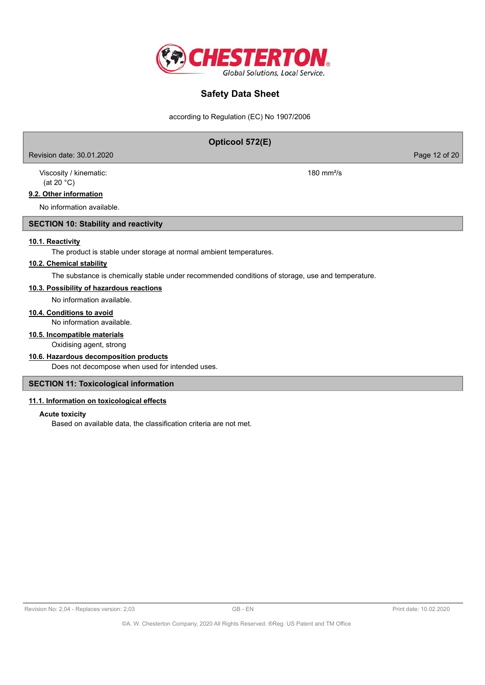

according to Regulation (EC) No 1907/2006

## **Opticool 572(E)**

Revision date: 30.01.2020 Page 12 of 20

Viscosity / kinematic: 180 mm²/s (at 20 °C)

### **9.2. Other information**

No information available.

## **SECTION 10: Stability and reactivity**

### **10.1. Reactivity**

The product is stable under storage at normal ambient temperatures.

## **10.2. Chemical stability**

The substance is chemically stable under recommended conditions of storage, use and temperature.

## **10.3. Possibility of hazardous reactions**

No information available.

## **10.4. Conditions to avoid**

No information available.

## **10.5. Incompatible materials**

Oxidising agent, strong

## **10.6. Hazardous decomposition products**

Does not decompose when used for intended uses.

## **SECTION 11: Toxicological information**

## **11.1. Information on toxicological effects**

**Acute toxicity**

Based on available data, the classification criteria are not met.

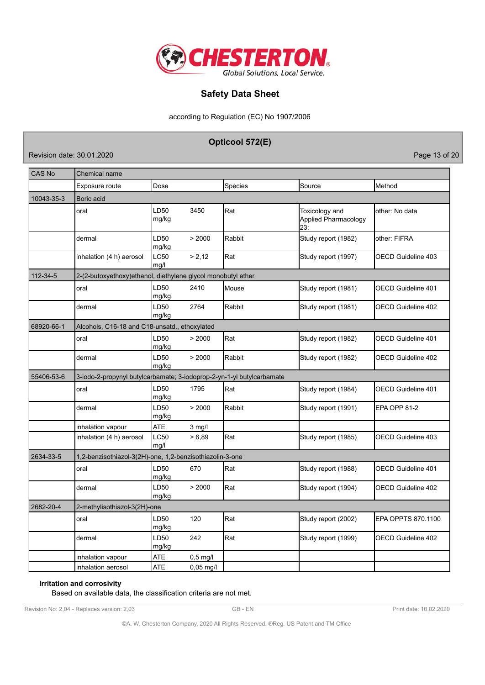

according to Regulation (EC) No 1907/2006

**Opticool 572(E)**

Revision date: 30.01.2020 Page 13 of 20

| <b>CAS No</b> | Chemical name                                                         |                     |            |                |                                               |                           |
|---------------|-----------------------------------------------------------------------|---------------------|------------|----------------|-----------------------------------------------|---------------------------|
|               | Exposure route                                                        | Dose                |            | <b>Species</b> | Source                                        | Method                    |
| 10043-35-3    | Boric acid                                                            |                     |            |                |                                               |                           |
|               | oral                                                                  | LD50<br>mg/kg       | 3450       | Rat            | Toxicology and<br>Applied Pharmacology<br>23: | other: No data            |
|               | dermal                                                                | LD50<br>mg/kg       | > 2000     | Rabbit         | Study report (1982)                           | other: FIFRA              |
|               | inhalation (4 h) aerosol                                              | LC50<br>mg/l        | > 2,12     | Rat            | Study report (1997)                           | <b>OECD Guideline 403</b> |
| 112-34-5      | 2-(2-butoxyethoxy)ethanol, diethylene glycol monobutyl ether          |                     |            |                |                                               |                           |
|               | oral                                                                  | LD50<br>mg/kg       | 2410       | Mouse          | Study report (1981)                           | <b>OECD Guideline 401</b> |
|               | dermal                                                                | LD50<br>mg/kg       | 2764       | Rabbit         | Study report (1981)                           | <b>OECD Guideline 402</b> |
| 68920-66-1    | Alcohols, C16-18 and C18-unsatd., ethoxylated                         |                     |            |                |                                               |                           |
|               | oral                                                                  | LD50<br>mg/kg       | > 2000     | Rat            | Study report (1982)                           | OECD Guideline 401        |
|               | dermal                                                                | LD50<br>mg/kg       | > 2000     | Rabbit         | Study report (1982)                           | OECD Guideline 402        |
| 55406-53-6    | 3-iodo-2-propynyl butylcarbamate; 3-iodoprop-2-yn-1-yl butylcarbamate |                     |            |                |                                               |                           |
|               | oral                                                                  | LD50<br>mg/kg       | 1795       | Rat            | Study report (1984)                           | OECD Guideline 401        |
|               | dermal                                                                | LD50<br>mg/kg       | > 2000     | Rabbit         | Study report (1991)                           | <b>EPA OPP 81-2</b>       |
|               | inhalation vapour                                                     | <b>ATE</b>          | 3 mg/l     |                |                                               |                           |
|               | inhalation (4 h) aerosol                                              | <b>LC50</b><br>mg/l | > 6.89     | Rat            | Study report (1985)                           | <b>OECD Guideline 403</b> |
| 2634-33-5     | 1,2-benzisothiazol-3(2H)-one, 1,2-benzisothiazolin-3-one              |                     |            |                |                                               |                           |
|               | oral                                                                  | LD50<br>mg/kg       | 670        | Rat            | Study report (1988)                           | <b>OECD Guideline 401</b> |
|               | dermal                                                                | LD50<br>mg/kg       | > 2000     | Rat            | Study report (1994)                           | OECD Guideline 402        |
| 2682-20-4     | 2-methylisothiazol-3(2H)-one                                          |                     |            |                |                                               |                           |
|               | oral                                                                  | LD50<br>mg/kg       | 120        | Rat            | Study report (2002)                           | EPA OPPTS 870.1100        |
|               | dermal                                                                | LD50<br>mg/kg       | 242        | Rat            | Study report (1999)                           | OECD Guideline 402        |
|               | inhalation vapour                                                     | <b>ATE</b>          | $0,5$ mg/l |                |                                               |                           |
|               | inhalation aerosol                                                    | <b>ATE</b>          | 0,05 mg/l  |                |                                               |                           |

**Irritation and corrosivity**

Based on available data, the classification criteria are not met.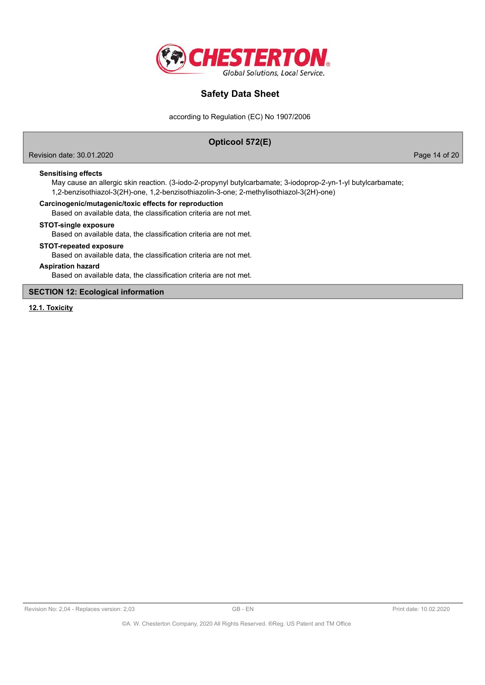

according to Regulation (EC) No 1907/2006

## **Opticool 572(E)**

Revision date: 30.01.2020 Page 14 of 20

**Sensitising effects**

May cause an allergic skin reaction. (3-iodo-2-propynyl butylcarbamate; 3-iodoprop-2-yn-1-yl butylcarbamate; 1,2-benzisothiazol-3(2H)-one, 1,2-benzisothiazolin-3-one; 2-methylisothiazol-3(2H)-one)

### **Carcinogenic/mutagenic/toxic effects for reproduction**

Based on available data, the classification criteria are not met.

### **STOT-single exposure**

Based on available data, the classification criteria are not met.

#### **STOT-repeated exposure**

Based on available data, the classification criteria are not met.

### **Aspiration hazard**

Based on available data, the classification criteria are not met.

## **SECTION 12: Ecological information**

**12.1. Toxicity**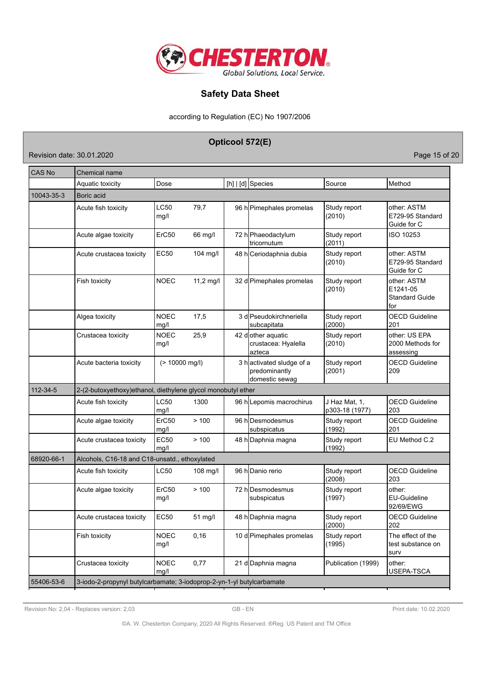

according to Regulation (EC) No 1907/2006

# **Opticool 572(E)**

Revision date: 30.01.2020 **Page 15 of 20** 

| <b>CAS No</b> | Chemical name                                                         |                     |             |  |                                                             |                                 |                                                         |  |
|---------------|-----------------------------------------------------------------------|---------------------|-------------|--|-------------------------------------------------------------|---------------------------------|---------------------------------------------------------|--|
|               | Aquatic toxicity                                                      | Dose                |             |  | [h] $ d $ Species                                           | Source                          | Method                                                  |  |
| 10043-35-3    | Boric acid                                                            |                     |             |  |                                                             |                                 |                                                         |  |
|               | Acute fish toxicity                                                   | LC50<br>mg/l        | 79,7        |  | 96 h Pimephales promelas                                    | Study report<br>(2010)          | other: ASTM<br>E729-95 Standard<br>Guide for C          |  |
|               | Acute algae toxicity                                                  | ErC50               | 66 mg/l     |  | 72 h Phaeodactylum<br>tricornutum                           | Study report<br>(2011)          | ISO 10253                                               |  |
|               | Acute crustacea toxicity                                              | <b>EC50</b>         | $104$ mg/l  |  | 48 hCeriodaphnia dubia                                      | Study report<br>(2010)          | other: ASTM<br>E729-95 Standard<br>Guide for C          |  |
|               | Fish toxicity                                                         | <b>NOEC</b>         | $11,2$ mg/l |  | 32 d Pimephales promelas                                    | Study report<br>(2010)          | other: ASTM<br>E1241-05<br><b>Standard Guide</b><br>for |  |
|               | Algea toxicity                                                        | <b>NOEC</b><br>mg/l | 17,5        |  | 3 d Pseudokirchneriella<br>subcapitata                      | Study report<br>(2000)          | <b>OECD Guideline</b><br>201                            |  |
|               | Crustacea toxicity                                                    | <b>NOEC</b><br>mg/l | 25,9        |  | 42 dother aquatic<br>crustacea: Hyalella<br>azteca          | Study report<br>(2010)          | other: US EPA<br>2000 Methods for<br>assessing          |  |
|               | Acute bacteria toxicity                                               | $(> 10000$ mg/l)    |             |  | 3 hactivated sludge of a<br>predominantly<br>domestic sewag | Study report<br>(2001)          | <b>OECD Guideline</b><br>209                            |  |
| 112-34-5      | 2-(2-butoxyethoxy)ethanol, diethylene glycol monobutyl ether          |                     |             |  |                                                             |                                 |                                                         |  |
|               | Acute fish toxicity                                                   | LC50<br>mg/l        | 1300        |  | 96 h Lepomis macrochirus                                    | J Haz Mat, 1,<br>p303-18 (1977) | <b>OECD Guideline</b><br>203                            |  |
|               | Acute algae toxicity                                                  | ErC50<br>mg/l       | >100        |  | 96 hDesmodesmus<br>subspicatus                              | Study report<br>(1992)          | <b>OECD Guideline</b><br>201                            |  |
|               | Acute crustacea toxicity                                              | EC50<br>mg/l        | >100        |  | 48 h Daphnia magna                                          | Study report<br>(1992)          | EU Method C.2                                           |  |
| 68920-66-1    | Alcohols, C16-18 and C18-unsatd., ethoxylated                         |                     |             |  |                                                             |                                 |                                                         |  |
|               | Acute fish toxicity                                                   | LC50                | 108 mg/l    |  | 96 h Danio rerio                                            | Study report<br>(2008)          | <b>OECD Guideline</b><br>203                            |  |
|               | Acute algae toxicity                                                  | ErC50<br>mg/l       | >100        |  | 72 hDesmodesmus<br>subspicatus                              | Study report<br>(1997)          | other:<br><b>EU-Guideline</b><br>92/69/EWG              |  |
|               | Acute crustacea toxicity                                              | <b>EC50</b>         | 51 mg/l     |  | 48 h Daphnia magna                                          | Study report<br>(2000)          | <b>OECD Guideline</b><br>202                            |  |
|               | Fish toxicity                                                         | <b>NOEC</b><br>mg/l | 0, 16       |  | 10 d Pimephales promelas                                    | Study report<br>(1995)          | The effect of the<br>test substance on<br>surv          |  |
|               | Crustacea toxicity                                                    | <b>NOEC</b><br>mg/l | 0,77        |  | 21 d Daphnia magna                                          | Publication (1999)              | other:<br>USEPA-TSCA                                    |  |
| 55406-53-6    | 3-iodo-2-propynyl butylcarbamate; 3-iodoprop-2-yn-1-yl butylcarbamate |                     |             |  |                                                             |                                 |                                                         |  |

Revision No: 2,04 - Replaces version: 2,03 GB - EN GB - EN Print date: 10.02.2020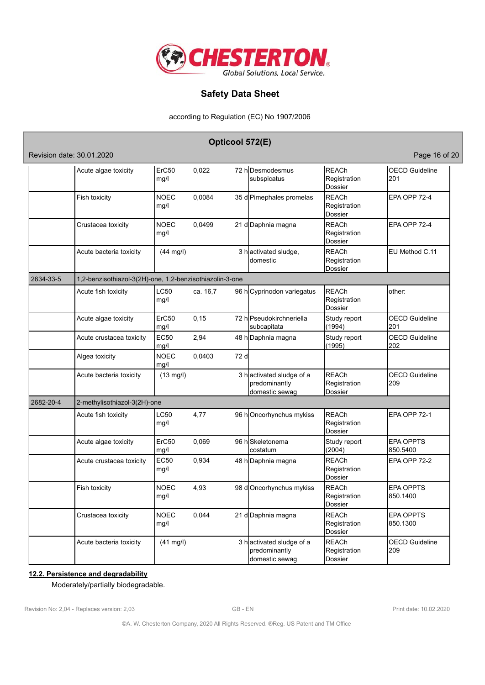

according to Regulation (EC) No 1907/2006

|           |                                                          |                     |          | Opticool 572(E) |                                                             |                                                |                              |  |  |  |  |
|-----------|----------------------------------------------------------|---------------------|----------|-----------------|-------------------------------------------------------------|------------------------------------------------|------------------------------|--|--|--|--|
|           | Revision date: 30.01.2020                                |                     |          |                 |                                                             |                                                | Page 16 of 20                |  |  |  |  |
|           | Acute algae toxicity                                     | ErC50<br>mg/l       | 0,022    |                 | 72 hDesmodesmus<br>subspicatus                              | <b>REACh</b><br>Registration<br><b>Dossier</b> | <b>OECD Guideline</b><br>201 |  |  |  |  |
|           | Fish toxicity                                            | <b>NOEC</b><br>mg/l | 0,0084   |                 | 35 d Pimephales promelas                                    | <b>REACh</b><br>Registration<br><b>Dossier</b> | EPA OPP 72-4                 |  |  |  |  |
|           | Crustacea toxicity                                       | <b>NOEC</b><br>mg/l | 0,0499   |                 | 21 d Daphnia magna                                          | <b>REACh</b><br>Registration<br>Dossier        | EPA OPP 72-4                 |  |  |  |  |
|           | Acute bacteria toxicity                                  | $(44$ mg/l)         |          |                 | 3 hactivated sludge,<br>domestic                            | <b>REACh</b><br>Registration<br>Dossier        | EU Method C.11               |  |  |  |  |
| 2634-33-5 | 1,2-benzisothiazol-3(2H)-one, 1,2-benzisothiazolin-3-one |                     |          |                 |                                                             |                                                |                              |  |  |  |  |
|           | Acute fish toxicity                                      | LC50<br>mg/l        | ca. 16,7 |                 | 96 h Cyprinodon variegatus                                  | <b>REACh</b><br>Registration<br><b>Dossier</b> | other:                       |  |  |  |  |
|           | Acute algae toxicity                                     | ErC50<br>mg/l       | 0,15     |                 | 72 h Pseudokirchneriella<br>subcapitata                     | Study report<br>(1994)                         | <b>OECD Guideline</b><br>201 |  |  |  |  |
|           | Acute crustacea toxicity                                 | <b>EC50</b><br>mg/l | 2.94     |                 | 48 h Daphnia magna                                          | Study report<br>(1995)                         | <b>OECD Guideline</b><br>202 |  |  |  |  |
|           | Algea toxicity                                           | <b>NOEC</b><br>mg/l | 0,0403   | 72 d            |                                                             |                                                |                              |  |  |  |  |
|           | Acute bacteria toxicity                                  | $(13 \text{ mg/l})$ |          |                 | 3 hactivated sludge of a<br>predominantly<br>domestic sewag | <b>REACh</b><br>Registration<br>Dossier        | <b>OECD Guideline</b><br>209 |  |  |  |  |
| 2682-20-4 | 2-methylisothiazol-3(2H)-one                             |                     |          |                 |                                                             |                                                |                              |  |  |  |  |
|           | Acute fish toxicity                                      | LC50<br>mg/l        | 4,77     |                 | 96 hOncorhynchus mykiss                                     | <b>REACh</b><br>Registration<br>Dossier        | EPA OPP 72-1                 |  |  |  |  |
|           | Acute algae toxicity                                     | ErC50<br>mg/l       | 0,069    |                 | 96 hSkeletonema<br>costatum                                 | Study report<br>(2004)                         | <b>EPA OPPTS</b><br>850.5400 |  |  |  |  |
|           | Acute crustacea toxicity                                 | <b>EC50</b><br>mg/l | 0,934    |                 | 48 h Daphnia magna                                          | <b>REACh</b><br>Registration<br>Dossier        | EPA OPP 72-2                 |  |  |  |  |
|           | Fish toxicity                                            | <b>NOEC</b><br>mg/l | 4,93     |                 | 98 d Oncorhynchus mykiss                                    | <b>REACh</b><br>Registration<br>Dossier        | <b>EPA OPPTS</b><br>850.1400 |  |  |  |  |
|           | Crustacea toxicity                                       | <b>NOEC</b><br>mg/l | 0,044    |                 | 21 d Daphnia magna                                          | <b>REACh</b><br>Registration<br><b>Dossier</b> | <b>EPA OPPTS</b><br>850.1300 |  |  |  |  |
|           | Acute bacteria toxicity                                  | $(41$ mg/l)         |          |                 | 3 hactivated sludge of a<br>predominantly<br>domestic sewag | <b>REACh</b><br>Registration<br>Dossier        | <b>OECD Guideline</b><br>209 |  |  |  |  |

## **12.2. Persistence and degradability**

Moderately/partially biodegradable.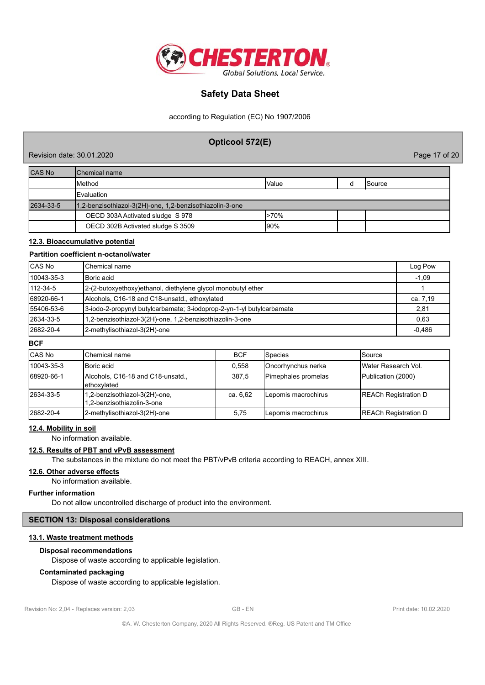

according to Regulation (EC) No 1907/2006

## **Opticool 572(E)**

Revision date: 30.01.2020 Page 17 of 20

CAS No **Chemical name** Method Value d Source Evaluation 2634-33-5 1,2-benzisothiazol-3(2H)-one, 1,2-benzisothiazolin-3-one OECD 303A Activated sludge S 978 >70% OECD 302B Activated sludge S 3509 90%

## **12.3. Bioaccumulative potential**

## **Partition coefficient n-octanol/water**

| <b>CAS No</b>  | lChemical name                                                        | Log Pow  |
|----------------|-----------------------------------------------------------------------|----------|
| 10043-35-3     | <b>Boric</b> acid                                                     | $-1,09$  |
| $112 - 34 - 5$ | 2-(2-butoxyethoxy) ethanol, diethylene glycol monobutyl ether         |          |
| 68920-66-1     | Alcohols, C16-18 and C18-unsatd., ethoxylated                         | ca. 7,19 |
| 55406-53-6     | 3-iodo-2-propynyl butylcarbamate; 3-iodoprop-2-yn-1-yl butylcarbamate | 2,81     |
| 2634-33-5      | 1,2-benzisothiazol-3(2H)-one, 1,2-benzisothiazolin-3-one              | 0.63     |
| 2682-20-4      | 2-methylisothiazol-3(2H)-one                                          | $-0.486$ |

### **BCF**

| <b>CAS No</b> | Chemical name                                               | <b>BCF</b> | Species                    | ISource                     |
|---------------|-------------------------------------------------------------|------------|----------------------------|-----------------------------|
| 10043-35-3    | <b>IBoric</b> acid                                          | 0.558      | <b>IOncorhvnchus nerka</b> | IWater Research Vol.        |
| 68920-66-1    | Alcohols, C16-18 and C18-unsatd.,<br>Iethoxvlated           | 387.5      | <b>Pimephales promelas</b> | Publication (2000)          |
| 2634-33-5     | 1,2-benzisothiazol-3(2H)-one,<br>1,2-benzisothiazolin-3-one | ca. 6,62   | Lepomis macrochirus        | <b>REACh Registration D</b> |
| 2682-20-4     | 2-methylisothiazol-3(2H)-one                                | 5,75       | ILepomis macrochirus       | <b>REACh Registration D</b> |

#### **12.4. Mobility in soil**

No information available.

#### **12.5. Results of PBT and vPvB assessment**

The substances in the mixture do not meet the PBT/vPvB criteria according to REACH, annex XIII.

#### **12.6. Other adverse effects**

No information available.

#### **Further information**

Do not allow uncontrolled discharge of product into the environment.

### **SECTION 13: Disposal considerations**

## **13.1. Waste treatment methods**

#### **Disposal recommendations**

Dispose of waste according to applicable legislation.

#### **Contaminated packaging**

Dispose of waste according to applicable legislation.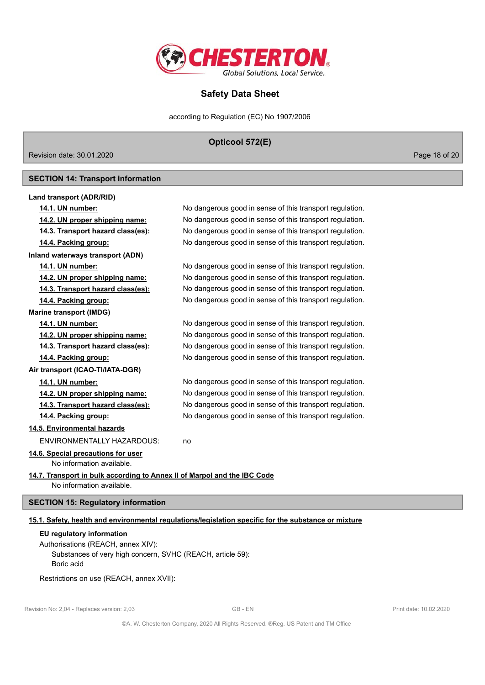

according to Regulation (EC) No 1907/2006

**Opticool 572(E)**

Revision date: 30.01.2020 Page 18 of 20

### **SECTION 14: Transport information**

# **Land transport (ADR/RID) 14.1. UN number:** No dangerous good in sense of this transport regulation. **14.2. UN proper shipping name:** No dangerous good in sense of this transport regulation. **14.3. Transport hazard class(es):** No dangerous good in sense of this transport regulation. **14.4. Packing group:** No dangerous good in sense of this transport regulation. **Inland waterways transport (ADN) 14.1. UN number:** No dangerous good in sense of this transport regulation. **14.2. UN proper shipping name:** No dangerous good in sense of this transport regulation. **14.3. Transport hazard class(es):** No dangerous good in sense of this transport regulation. **14.4. Packing group:** No dangerous good in sense of this transport regulation. **Marine transport (IMDG) 14.1. UN number:** No dangerous good in sense of this transport regulation. **14.2. UN proper shipping name:** No dangerous good in sense of this transport regulation. **14.3. Transport hazard class(es):** No dangerous good in sense of this transport regulation. **14.4. Packing group:** No dangerous good in sense of this transport regulation.

**Air transport (ICAO-TI/IATA-DGR)**

### **14.1. UN number:** No dangerous good in sense of this transport regulation.

**14.2. UN proper shipping name:** No dangerous good in sense of this transport regulation.

#### **14.3. Transport hazard class(es):** No dangerous good in sense of this transport regulation.

**14.4. Packing group:** No dangerous good in sense of this transport regulation.

## **14.5. Environmental hazards**

ENVIRONMENTALLY HAZARDOUS: no

# **14.6. Special precautions for user**

### No information available.

**14.7. Transport in bulk according to Annex II of Marpol and the IBC Code** No information available.

## **SECTION 15: Regulatory information**

## **15.1. Safety, health and environmental regulations/legislation specific for the substance or mixture**

#### **EU regulatory information**

Authorisations (REACH, annex XIV): Substances of very high concern, SVHC (REACH, article 59): Boric acid

Restrictions on use (REACH, annex XVII):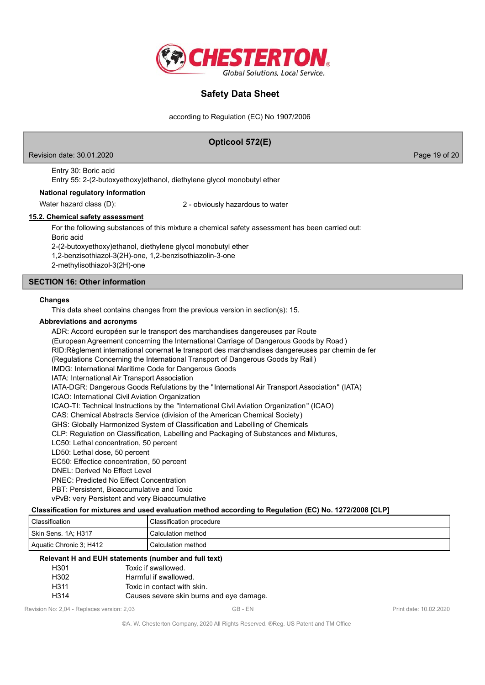

according to Regulation (EC) No 1907/2006

# **Opticool 572(E)** Revision date: 30.01.2020 Page 19 of 20 Entry 30: Boric acid Entry 55: 2-(2-butoxyethoxy)ethanol, diethylene glycol monobutyl ether **National regulatory information** Water hazard class (D): 2 - obviously hazardous to water **15.2. Chemical safety assessment** For the following substances of this mixture a chemical safety assessment has been carried out: Boric acid 2-(2-butoxyethoxy)ethanol, diethylene glycol monobutyl ether 1,2-benzisothiazol-3(2H)-one, 1,2-benzisothiazolin-3-one

2-methylisothiazol-3(2H)-one

## **SECTION 16: Other information**

#### **Changes**

This data sheet contains changes from the previous version in section(s): 15.

#### **Abbreviations and acronyms**

ADR: Accord européen sur le transport des marchandises dangereuses par Route (European Agreement concerning the International Carriage of Dangerous Goods by Road ) RID:Règlement international conernat le transport des marchandises dangereuses par chemin de fer (Regulations Concerning the International Transport of Dangerous Goods by Rail ) IMDG: International Maritime Code for Dangerous Goods IATA: International Air Transport Association IATA-DGR: Dangerous Goods Refulations by the "International Air Transport Association" (IATA) ICAO: International Civil Aviation Organization ICAO-TI: Technical Instructions by the "International Civil Aviation Organization" (ICAO) CAS: Chemical Abstracts Service (division of the American Chemical Society) GHS: Globally Harmonized System of Classification and Labelling of Chemicals CLP: Regulation on Classification, Labelling and Packaging of Substances and Mixtures, LC50: Lethal concentration, 50 percent LD50: Lethal dose, 50 percent EC50: Effectice concentration, 50 percent DNEL: Derived No Effect Level PNEC: Predicted No Effect Concentration PBT: Persistent, Bioaccumulative and Toxic vPvB: very Persistent and very Bioaccumulative **Classification for mixtures and used evaluation method according to Regulation (EC) No. 1272/2008 [CLP]** Classification Classification procedure

## Aquatic Chronic 3; H412 Calculation method **Relevant H and EUH statements (number and full text)**

Skin Sens. 1A; H317 Calculation method

| $\epsilon$ ievalit n aliu EUN Statements (humber and fun text) |                   |                                          |
|----------------------------------------------------------------|-------------------|------------------------------------------|
|                                                                | H301              | Toxic if swallowed.                      |
|                                                                | H302              | Harmful if swallowed.                    |
|                                                                | H311              | Toxic in contact with skin.              |
|                                                                | H <sub>3</sub> 14 | Causes severe skin burns and eye damage. |

Revision No: 2,04 - Replaces version: 2,03 GB - EN GB - EN Print date: 10.02.2020